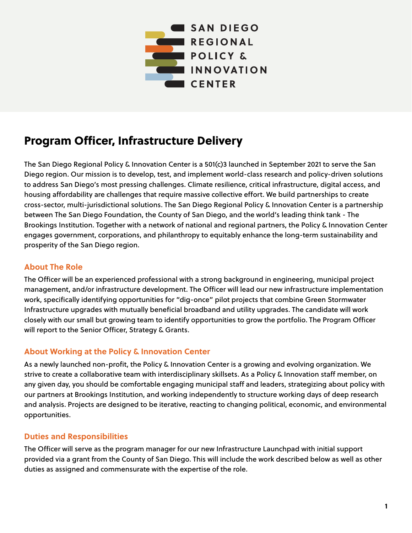

# Program Officer, Infrastructure Delivery

The San Diego Regional Policy & Innovation Center is a 501(c)3 launched in September 2021 to serve the San Diego region. Our mission is to develop, test, and implement world-class research and policy-driven solutions to address San Diego's most pressing challenges. Climate resilience, critical infrastructure, digital access, and housing affordability are challenges that require massive collective effort. We build partnerships to create cross-sector, multi-jurisdictional solutions. The San Diego Regional Policy & Innovation Center is a partnership between The San Diego Foundation, the County of San Diego, and the world's leading think tank - The Brookings Institution. Together with a network of national and regional partners, the Policy & Innovation Center engages government, corporations, and philanthropy to equitably enhance the long-term sustainability and prosperity of the San Diego region.

## **About The Role**

The Officer will be an experienced professional with a strong background in engineering, municipal project management, and/or infrastructure development. The Officer will lead our new infrastructure implementation work, specifically identifying opportunities for "dig-once" pilot projects that combine Green Stormwater Infrastructure upgrades with mutually beneficial broadband and utility upgrades. The candidate will work closely with our small but growing team to identify opportunities to grow the portfolio. The Program Officer will report to the Senior Officer, Strategy & Grants.

# **About Working at the Policy & Innovation Center**

As a newly launched non-profit, the Policy & Innovation Center is a growing and evolving organization. We strive to create a collaborative team with interdisciplinary skillsets. As a Policy & Innovation staff member, on any given day, you should be comfortable engaging municipal staff and leaders, strategizing about policy with our partners at Brookings Institution, and working independently to structure working days of deep research and analysis. Projects are designed to be iterative, reacting to changing political, economic, and environmental opportunities.

# **Duties and Responsibilities**

The Officer will serve as the program manager for our new Infrastructure Launchpad with initial support provided via a grant from the County of San Diego. This will include the work described below as well as other duties as assigned and commensurate with the expertise of the role.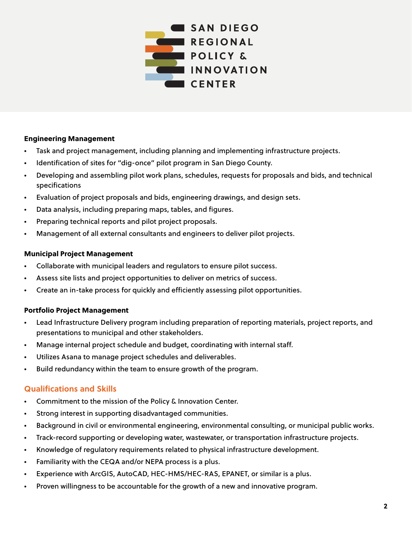

#### Engineering Management

- Task and project management, including planning and implementing infrastructure projects.
- Identification of sites for "dig-once" pilot program in San Diego County.
- Developing and assembling pilot work plans, schedules, requests for proposals and bids, and technical specifications
- Evaluation of project proposals and bids, engineering drawings, and design sets.
- Data analysis, including preparing maps, tables, and figures.
- Preparing technical reports and pilot project proposals.
- Management of all external consultants and engineers to deliver pilot projects.

#### Municipal Project Management

- Collaborate with municipal leaders and regulators to ensure pilot success.
- Assess site lists and project opportunities to deliver on metrics of success.
- Create an in-take process for quickly and efficiently assessing pilot opportunities.

#### Portfolio Project Management

- Lead Infrastructure Delivery program including preparation of reporting materials, project reports, and presentations to municipal and other stakeholders.
- Manage internal project schedule and budget, coordinating with internal staff.
- Utilizes Asana to manage project schedules and deliverables.
- Build redundancy within the team to ensure growth of the program.

## **Qualifications and Skills**

- Commitment to the mission of the Policy & Innovation Center.
- Strong interest in supporting disadvantaged communities.
- Background in civil or environmental engineering, environmental consulting, or municipal public works.
- Track-record supporting or developing water, wastewater, or transportation infrastructure projects.
- Knowledge of regulatory requirements related to physical infrastructure development.
- Familiarity with the CEQA and/or NEPA process is a plus.
- Experience with ArcGIS, AutoCAD, HEC-HMS/HEC-RAS, EPANET, or similar is a plus.
- Proven willingness to be accountable for the growth of a new and innovative program.